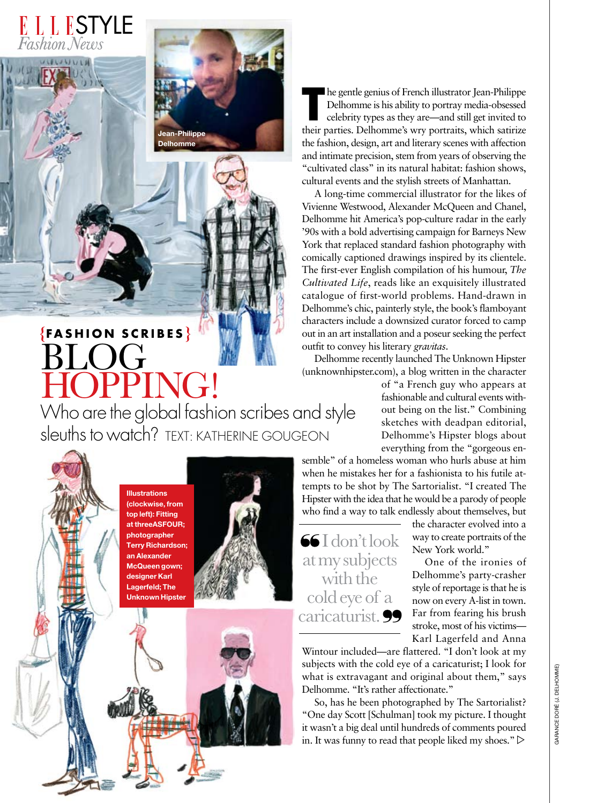

### **BLOG** HOPPING! Who are the global fashion scribes and style **{FASH ION Scr <sup>i</sup> b e <sup>s</sup> }**

In egentle genius of French illustrator Jean-Philippe<br>
Delhomme is his ability to portray media-obsessed<br>
celebrity types as they are—and still get invited to<br>
their parties. Delhomme's wry portraits, which satirize he gentle genius of French illustrator Jean-Philippe Delhomme is his ability to portray media-obsessed celebrity types as they are—and still get invited to the fashion, design, art and literary scenes with affection and intimate precision, stem from years of observing the "cultivated class" in its natural habitat: fashion shows, cultural events and the stylish streets of Manhattan.

A long-time commercial illustrator for the likes of Vivienne Westwood, Alexander McQueen and Chanel, Delhomme hit America's pop-culture radar in the early '90s with a bold advertising campaign for Barneys New York that replaced standard fashion photography with comically captioned drawings inspired by its clientele. The first-ever English compilation of his humour, *The Cultivated Life*, reads like an exquisitely illustrated catalogue of first-world problems. Hand-drawn in Delhomme's chic, painterly style, the book's flamboyant characters include a downsized curator forced to camp out in an art installation and a poseur seeking the perfect outfit to convey his literary *gravitas*.

Delhomme recently launched The Unknown Hipster (unknownhipster.com), a blog written in the character

> of "a French guy who appears at fashionable and cultural events without being on the list." Combining sketches with deadpan editorial, Delhomme's Hipster blogs about everything from the "gorgeous en-

semble" of a homeless woman who hurls abuse at him when he mistakes her for a fashionista to his futile attempts to be shot by The Sartorialist. "I created The Hipster with the idea that he would be a parody of people who find a way to talk endlessly about themselves, but

I don't look at my subjects with the cold eye of a caricaturist.<sup>99</sup> the character evolved into a way to create portraits of the New York world."

One of the ironies of Delhomme's party-crasher style of reportage is that he is now on every A-list in town. Far from fearing his brush stroke, most of his victims— Karl Lagerfeld and Anna

Wintour included—are flattered. "I don't look at my subjects with the cold eye of a caricaturist; I look for what is extravagant and original about them," says Delhomme. "It's rather affectionate."

So, has he been photographed by The Sartorialist? "One day Scott [Schulman] took my picture. I thought it wasn't a big deal until hundreds of comments poured in. It was funny to read that people liked my shoes."  $\triangleright$ 

**Illustrations (clockwise, from top left): Fitting at threeASFOUR; photographer Terry Richardson; an Alexander McQueen gown; designer Karl Lagerfeld; The Unknown Hipster** 

sleuths to watch? Text: Katherine Gougeon